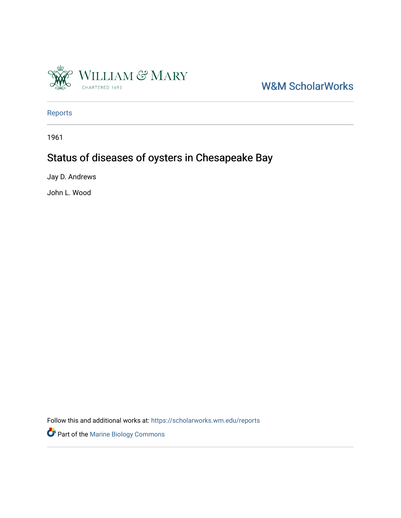

W&M ScholarWorks

[Reports](https://scholarworks.wm.edu/reports)

1961

# Status of diseases of oysters in Chesapeake Bay

Jay D. Andrews

John L. Wood

Follow this and additional works at: [https://scholarworks.wm.edu/reports](https://scholarworks.wm.edu/reports?utm_source=scholarworks.wm.edu%2Freports%2F2769&utm_medium=PDF&utm_campaign=PDFCoverPages)

Part of the [Marine Biology Commons](https://network.bepress.com/hgg/discipline/1126?utm_source=scholarworks.wm.edu%2Freports%2F2769&utm_medium=PDF&utm_campaign=PDFCoverPages)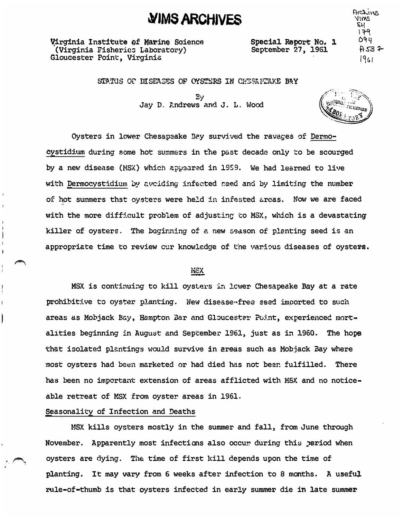Virginia Institute of Marine Science (Virginia Fisheries Laboratory) Gloucester Point, Virginia

Special Report No. 1 September 27, 1961

Archives  $2$ MIV ��  $179$  $Oqq$  $A53 +$ *19&1* 

STATUS OF DISEASES OF OYSTERS IN CHESAFEAKE BAY

**�JMS ARCHIVES** 

Ey Jay D. Andrews and J. L. Wood

.<br>ERre

Oysters in lower Chesapaake Bay survived the ravages of Dermooystidium during some hot summers in the past decade only to be scourged by a new disease (NSX.) which ap1:J3arad **in** 1959. We had learned to live with Dermocystidium by avciding infected seed and by limiting the number of hot summers that oysters were held in infested areas. Now we are faced o) with the more difficult problem of adjusting to MSX, which is a devastating killer of oysters. The beginning of a new season of planting seed is an appropriate time to review cur knowledge of the various diseases of oysters.

# **ltJSX**

MSX is continuing to kill oysters in lower Chesapeake Bay at a rate prohibitive to oyster planting. New disease-free seed imported to such areas as Mobjack Bay, Hampton Bar and Gloucester Point, experienced mortalities beginning in Augu�t and September 1961, just as in 1960. The hope that isolated plantings would survive in areas such as Mobjack Bay where most oysters had been marketed or had died has not been fulfilled. There has been no important extension of areas afflicted with MSX and no noticeable retreat of MSX from oyster areas in 1961.

# Seasonality of Infection and Deaths

MSX kills oysters mostly in the summer and fall, from June through November. Apparently most infections also occur during this period when oysters are dying. The time of first kill depends upon the time of planting. It may vary from 6 weeks after infection to 8 months. A useful rule-of-thumb is that oysters infected in early summer die in late summer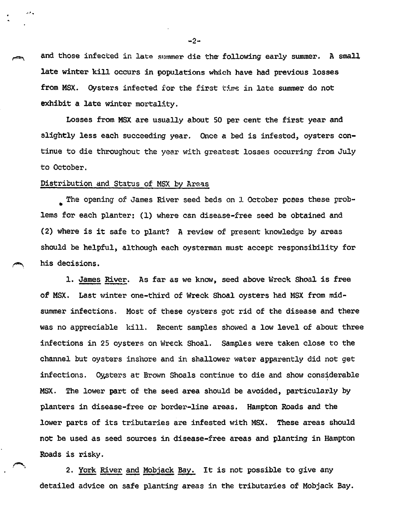and those infected in late summer die the following early summer. A small late winter kill occurs in populations whach have had previous losses from MSX. Oysters infected for the first time in late summer do not exhibit a late winter mortality.

Losses from MSX are usually about SO per cent the first year and slightly less each succeeding year. Once a bed is infested, oysters continue to die throughout the year with greatest losses occurring from July to October.

Distribution and Status of MSX by Areas

• The opening of James River seed beds on *l* October **pcees** these problems for each planter: (1) where can disease-free seed be obtained and (2) where is it safe to plant? A review of present knowledge by areas should be helpful, although each oysterman must accept responsibility for his decisions.

1. James River. As far as we know, seed above Wreck Shoal is free of MSX. Last winter one-third of Wreck Shoal oysters had MSX from midsummer infections. Most of these oysters got rid of the disease and there was no appreciable kill. Recent samples showed a low level of about three infections in 25 oysters on Wreck Shoal. Samples were taken close to the channel but oysters inshore and in shallower water apparently did not get infections. Cy.stars at Brown Shoals continue to die and show considerable ' MSX. The lower part of the seed area should be avoided, particularly by planters in disease-free or border-line areas. Hampton Roads and the lower parts of its tributaries are infested with **MSX. These** areas should not be used as seed sources in disease-free areas and planting in Hampton Roads is risky.

2. York River and Mobjack Bay. It is not possible to give any detailed advice on safe planting areas in the tributaries of Mobjack Bay.

 $-2-$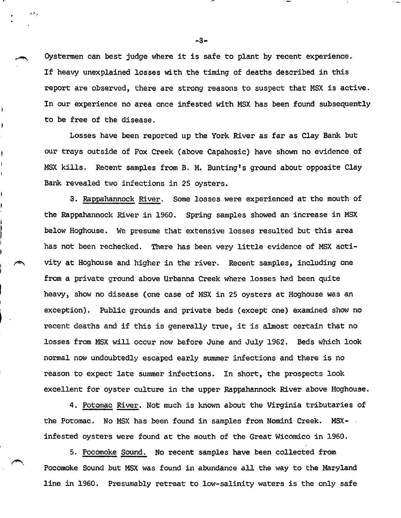Oystermen can best judge where it is safe to plant by recent experience. If heavy unexplained losses with the timing of deaths described in this report are observed, there are strong reasons to suspect that MSX is active. In our experience no area once infested with MSX has been found subsequently to be free of the disease.

Losses have been reported up the York River as far as Clay Bank but our trays outside of Fox Creek (above capahosic) have shown no evidence of MSX kills. Recent samples from B. M. Bunting's ground about opposite Clay Bank revealed two infections in 25 oysters.

3. Rappahannock River. Some losses were experienced at the mouth of the Rappahannock River in 1960. Spring samples showed an increase in MSX below Hoghouse. We presume that extensive losses resulted but this area has not been rechecked. There has been very little evidence of MSX acti vity at Hoghouse and higher in the river. Recent samples, including one from a private ground above Urbanna Creek where losses had been quite heavy, show no disease (one case of MSX in 25 oysters at Hoghouse was an exception). Public grounds and private beds (except one) examined show no recent deaths and if this is generally true, it is almost certain that no losses from MSX will occur now before June and July 1962. Beds which look normal now undoubtedly escaped early summer infections and there is no reason to expect late summer infections. In short, the prospects look excellent for oyster culture in the upper Rappahannock River above Hoghouse.

4. Potomac River. Not much is known about the Virginia tributaries of the Potomac. No MSX has been found in samples from Nomini Creek. **MSX**infested oysters were found at the mouth of the Great Wicomico in 1960.

5. Pocomoke Sound. No recent samples have been col1ected from Pocomoke Sound but MSX was found in abundance al1 the way to the Maryland line in 1960. Presumably retreat to low-salinity waters is the only safe

-3-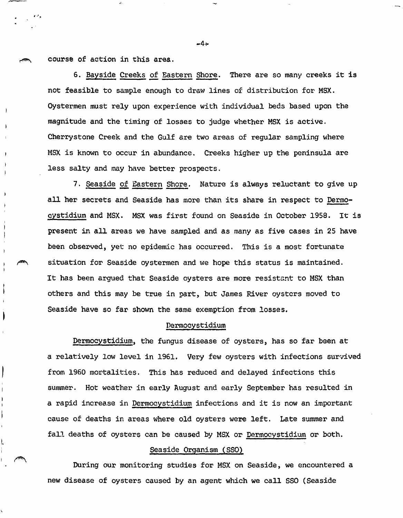course of action in this area.

 $\cdot$  .

6. Bayside Creeks of Eastern Shore. There are so many creeks it is not feasible to sample enough to draw lines of distribution for MSX. Oystermen must rely upon experience with individual beds based upon the magnitude and the timing of losses to judge whether MSX is active. Cherrystone Creek and the Gulf are two areas of regular sampling where MSX is known to occur in abundance. Creeks higher up the peninsula are less salty and may have better prospects.

7. Seaside of Eastern Shore. Nature is always reluctant to give up all her secrets and Seaside has more than its share in respect to Dermocystidium and MSX, MSX was first found on Seaside in October 1958. It is present in all areas we have sampled and as many as five cases in 25 have been observed, yet no epidemic has occurred. This is a most fortunate situation for Seaside oystermen and we hope this status is maintained. It has been argued that Seaside oysters are more resistant to MSX than others and this may be true in part, but James River oysters moved to Seaside have so far shown the same exemption from losses.

#### Dermocystidium

Dermocystidium, the fungus disease of oysters, has so far been at a relatively low level in 1961. Very few oysters with infections survived from 1960 mortalities. This has reduced and delayed infections this summer. Hot weather in early August and early September has resulted in a rapid increase in Dermocystidium infections and it is now an important cause of deaths in areas where old oysters were left. Late summer and fall deaths of oysters can be caused by MSX or Dermocystidium or both.

## Seaside Qrganism (SSO)

During our monitoring studies for MSX on Seaside, we encountered a new disease of oysters caused by an agent which we call SSO (Seaside

 $-4.$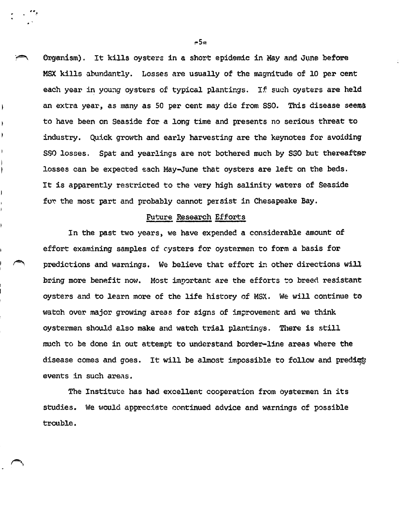Organism). It kills oysters in a short epidemic in May and June before MSX kills abundantly. Losses are usually of the magnitude of 10 per cent each year in young oysters of typical plantings. If such oysters are held an extra year, as many as SO per cent may die from sso. This disease seerna to have been on Seaside for a long time and presents no serious threat to industry. Quick growth and early harvesting are the keynotes for avoiding SSO losses. Spat and yearlings are not bothered much by S30 but thereafter losses can be expected each May-June that oysters are left on the beds. It is apparently restricted to the very high salinity waters of Seaside for the most part and probably cannot persist in Chesapeake Bay.

#### Future Research Efforts

In the past two years, we have expended a considerable amount of effort examining samples of cysters for oystermen to form a basis for predictions and warnings. We believe that effort in other directions will bring more benefit now. Most important are the efforts to breed resistant oysters and to learn more of the life history of MSX. We will continue to watch over major growing areas for signs of improvement and we think oystermen should also make and watch trial plantings. There is still much to be done in out attempt to understand border-line areas where the disease comes and goes. It will be almost impossible to follow and predict events in such areas.

The Institute has had excellent cooperation from oystermen in its studies. We would appreciate continued advice and warnings of possible trouble.

 $r5<sub>m</sub>$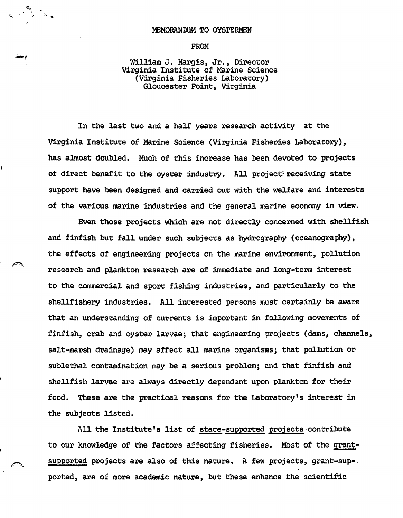### MEMORANDUM TO OYSTERMEN

**FROM** 

William J. Hargis, Jr., Director Virginia Institute of Marine Science (Virginia Fisheries Laboratory) Gloucester Point, Virginia

In the last two and a half years research activity at the Virginia Institute of Marine Science (Virginia Fisheries Laboratory), has almost doubled. Much of this increase has been devoted to projects of direct benefit to the oyster industry. All project: receiving state support have been designed and carried out with the welfare and interests of the various marine industries and the general marine economy in view.

Even those projects which are not directly concerned with shellfish and finfish but fa11 under such subjects as hydrography (oceanography), the effects of engineering projects on the marine environment, pollution research and plankton research are of immediate and long-term interest to the commercial and sport fishing industries, and particularly to the shellfishery industries. All interested persons must certainly be aware that an understanding of currents is important in following movements of finfish, crab and oyster larvae; that engineering projects (dams, channels, salt-marsh drainage) may affect all marine organisms; that pollution or sublethal contamination may be a serious problem; and that finfish and shellfish **larvae** are always directly dependent upon plankton for their food. These are the practical reasons for the Laboratory's interest in the subjects listed.

All the Institute's list of state-supported projects contribute to our knowledge of the factors affecting fisheries. Most of the grantsupported projects are also of this nature. A few projects, grant-supported, are of more academic nature, but these enhance the scientific

~.,